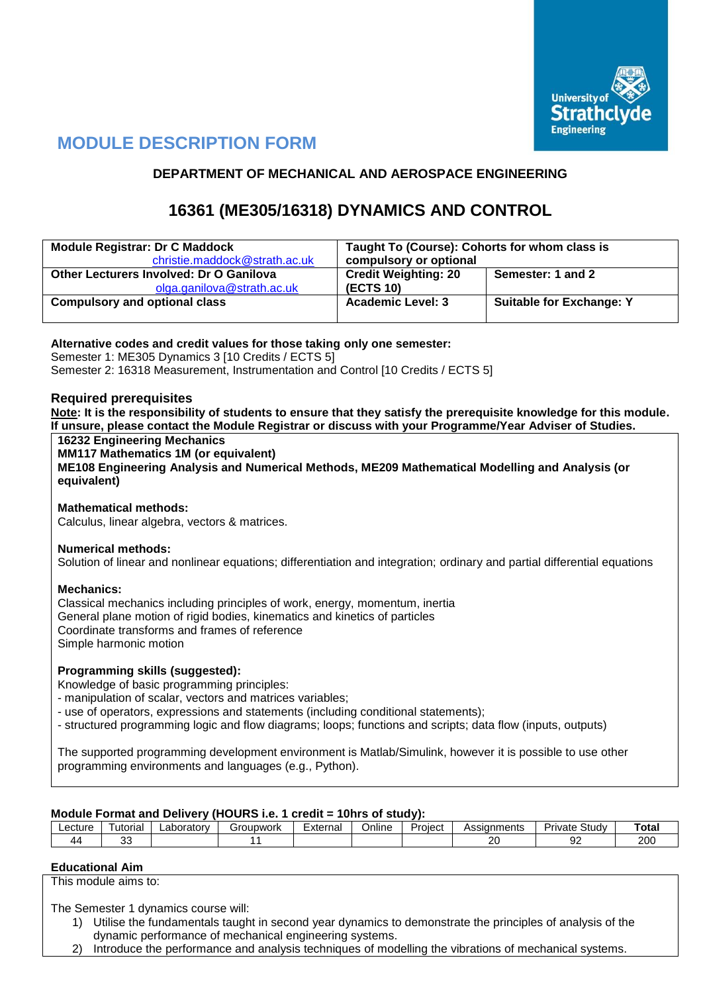

# **MODULE DESCRIPTION FORM**

# **DEPARTMENT OF MECHANICAL AND AEROSPACE ENGINEERING**

# **16361 (ME305/16318) DYNAMICS AND CONTROL**

| <b>Module Registrar: Dr C Maddock</b>   | Taught To (Course): Cohorts for whom class is |                                 |  |  |  |  |  |
|-----------------------------------------|-----------------------------------------------|---------------------------------|--|--|--|--|--|
| christie.maddock@strath.ac.uk           | compulsory or optional                        |                                 |  |  |  |  |  |
| Other Lecturers Involved: Dr O Ganilova | <b>Credit Weighting: 20</b>                   | Semester: 1 and 2               |  |  |  |  |  |
| olga.ganilova@strath.ac.uk              | <b>(ECTS 10)</b>                              |                                 |  |  |  |  |  |
| <b>Compulsory and optional class</b>    | <b>Academic Level: 3</b>                      | <b>Suitable for Exchange: Y</b> |  |  |  |  |  |
|                                         |                                               |                                 |  |  |  |  |  |

### **Alternative codes and credit values for those taking only one semester:**

Semester 1: ME305 Dynamics 3 [10 Credits / ECTS 5] Semester 2: 16318 Measurement, Instrumentation and Control [10 Credits / ECTS 5]

### **Required prerequisites**

**Note: It is the responsibility of students to ensure that they satisfy the prerequisite knowledge for this module. If unsure, please contact the Module Registrar or discuss with your Programme/Year Adviser of Studies.**

**16232 Engineering Mechanics**

**MM117 Mathematics 1M (or equivalent)**

**ME108 Engineering Analysis and Numerical Methods, ME209 Mathematical Modelling and Analysis (or equivalent)**

### **Mathematical methods:**

Calculus, linear algebra, vectors & matrices.

### **Numerical methods:**

Solution of linear and nonlinear equations; differentiation and integration; ordinary and partial differential equations

### **Mechanics:**

Classical mechanics including principles of work, energy, momentum, inertia General plane motion of rigid bodies, kinematics and kinetics of particles Coordinate transforms and frames of reference Simple harmonic motion

### **Programming skills (suggested):**

Knowledge of basic programming principles:

- manipulation of scalar, vectors and matrices variables;

- use of operators, expressions and statements (including conditional statements);
- structured programming logic and flow diagrams; loops; functions and scripts; data flow (inputs, outputs)

The supported programming development environment is Matlab/Simulink, however it is possible to use other programming environments and languages (e.g., Python).

### **Module Format and Delivery (HOURS i.e. 1 credit = 10hrs of study):**

| _ecture_     | utorial      | ∟aborator⊵ | upwork | :xternal<br>Online |  | -<br>Project | Assianments         | -<br>.<br>Study<br>'ivate | ™ota.      |
|--------------|--------------|------------|--------|--------------------|--|--------------|---------------------|---------------------------|------------|
| $\mathbf{z}$ | $\sim$<br>ບເ |            |        |                    |  |              | $\mathbf{r}$<br>. . | $\sim$<br>- 24            | חמפ<br>∽∪∪ |

#### **Educational Aim**

This module aims to:

The Semester 1 dynamics course will:

- 1) Utilise the fundamentals taught in second year dynamics to demonstrate the principles of analysis of the dynamic performance of mechanical engineering systems.
- 2) Introduce the performance and analysis techniques of modelling the vibrations of mechanical systems.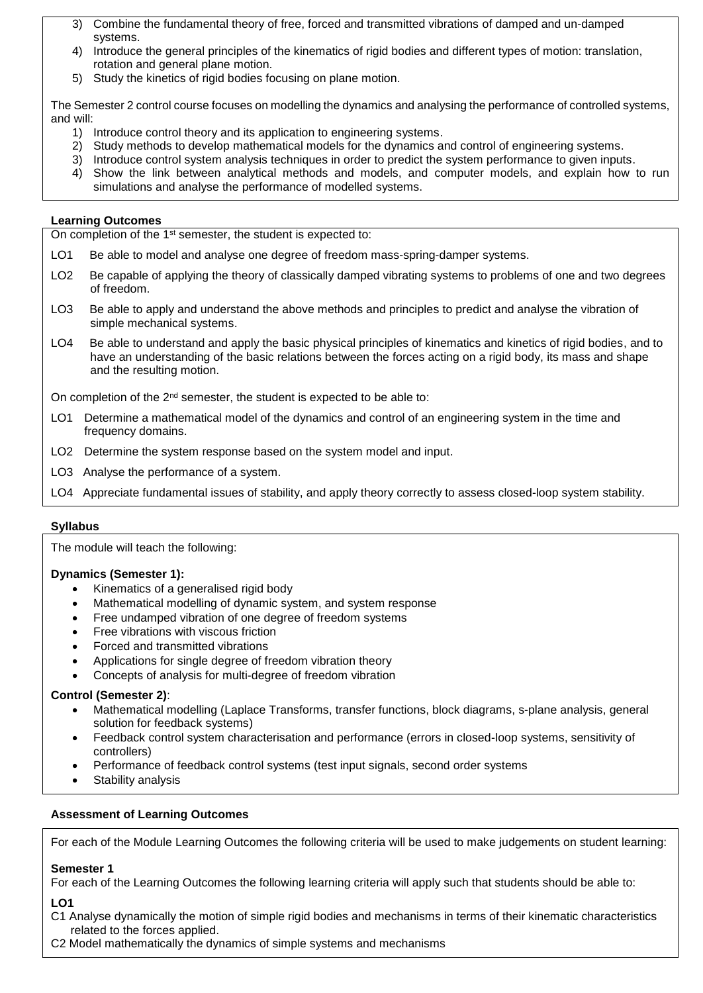- 3) Combine the fundamental theory of free, forced and transmitted vibrations of damped and un-damped systems.
- 4) Introduce the general principles of the kinematics of rigid bodies and different types of motion: translation, rotation and general plane motion.
- 5) Study the kinetics of rigid bodies focusing on plane motion.

The Semester 2 control course focuses on modelling the dynamics and analysing the performance of controlled systems, and will:

- 1) Introduce control theory and its application to engineering systems.
- 2) Study methods to develop mathematical models for the dynamics and control of engineering systems.
- 3) Introduce control system analysis techniques in order to predict the system performance to given inputs.
- 4) Show the link between analytical methods and models, and computer models, and explain how to run simulations and analyse the performance of modelled systems.

#### **Learning Outcomes**

On completion of the 1<sup>st</sup> semester, the student is expected to:

- LO1 Be able to model and analyse one degree of freedom mass-spring-damper systems.
- LO2 Be capable of applying the theory of classically damped vibrating systems to problems of one and two degrees of freedom.
- LO3 Be able to apply and understand the above methods and principles to predict and analyse the vibration of simple mechanical systems.
- LO4 Be able to understand and apply the basic physical principles of kinematics and kinetics of rigid bodies, and to have an understanding of the basic relations between the forces acting on a rigid body, its mass and shape and the resulting motion.

On completion of the 2<sup>nd</sup> semester, the student is expected to be able to:

- LO1 Determine a mathematical model of the dynamics and control of an engineering system in the time and frequency domains.
- LO2 Determine the system response based on the system model and input.
- LO3 Analyse the performance of a system.
- LO4 Appreciate fundamental issues of stability, and apply theory correctly to assess closed-loop system stability.

### **Syllabus**

The module will teach the following:

### **Dynamics (Semester 1):**

- Kinematics of a generalised rigid body
- Mathematical modelling of dynamic system, and system response
- Free undamped vibration of one degree of freedom systems
- Free vibrations with viscous friction
- Forced and transmitted vibrations
- Applications for single degree of freedom vibration theory
- Concepts of analysis for multi-degree of freedom vibration

### **Control (Semester 2)**:

- Mathematical modelling (Laplace Transforms, transfer functions, block diagrams, s-plane analysis, general solution for feedback systems)
- Feedback control system characterisation and performance (errors in closed-loop systems, sensitivity of controllers)
- Performance of feedback control systems (test input signals, second order systems
- Stability analysis

### **Assessment of Learning Outcomes**

For each of the Module Learning Outcomes the following criteria will be used to make judgements on student learning:

#### **Semester 1**

For each of the Learning Outcomes the following learning criteria will apply such that students should be able to:

### **LO1**

C1 Analyse dynamically the motion of simple rigid bodies and mechanisms in terms of their kinematic characteristics related to the forces applied.

C2 Model mathematically the dynamics of simple systems and mechanisms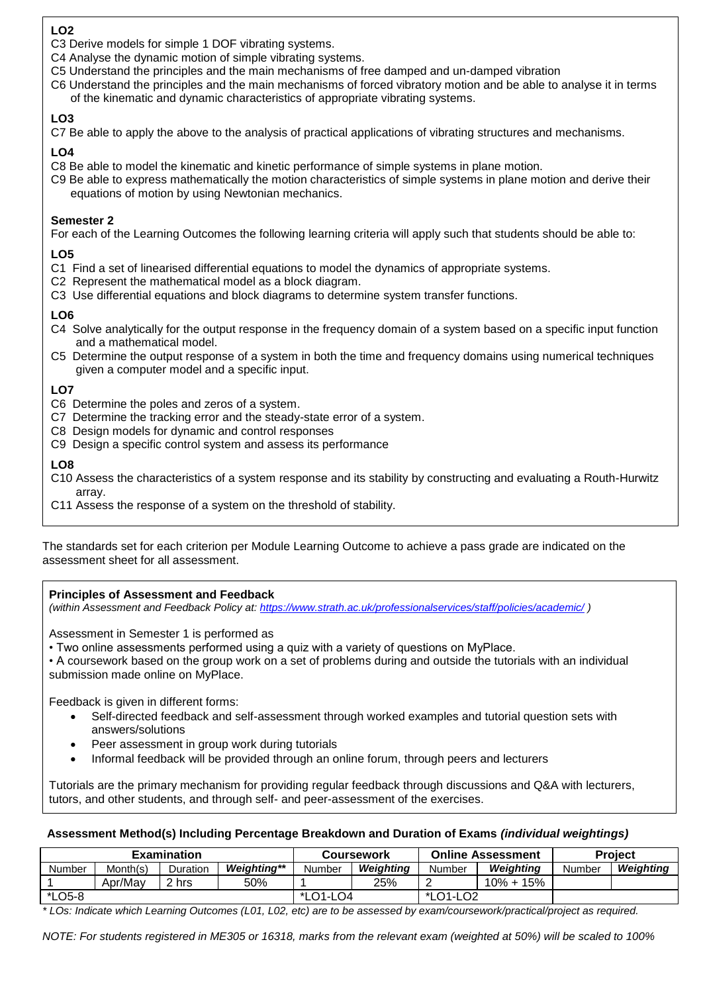## **LO2**

- C3 Derive models for simple 1 DOF vibrating systems.
- C4 Analyse the dynamic motion of simple vibrating systems.
- C5 Understand the principles and the main mechanisms of free damped and un-damped vibration
- C6 Understand the principles and the main mechanisms of forced vibratory motion and be able to analyse it in terms of the kinematic and dynamic characteristics of appropriate vibrating systems.

# **LO3**

C7 Be able to apply the above to the analysis of practical applications of vibrating structures and mechanisms.

# **LO4**

- C8 Be able to model the kinematic and kinetic performance of simple systems in plane motion.
- C9 Be able to express mathematically the motion characteristics of simple systems in plane motion and derive their equations of motion by using Newtonian mechanics.

### **Semester 2**

For each of the Learning Outcomes the following learning criteria will apply such that students should be able to:

# **LO5**

- C1 Find a set of linearised differential equations to model the dynamics of appropriate systems.
- C2 Represent the mathematical model as a block diagram.
- C3 Use differential equations and block diagrams to determine system transfer functions.

# **LO6**

- C4 Solve analytically for the output response in the frequency domain of a system based on a specific input function and a mathematical model.
- C5 Determine the output response of a system in both the time and frequency domains using numerical techniques given a computer model and a specific input.

# **LO7**

- C6 Determine the poles and zeros of a system.
- C7 Determine the tracking error and the steady-state error of a system.
- C8 Design models for dynamic and control responses
- C9 Design a specific control system and assess its performance

# **LO8**

C10 Assess the characteristics of a system response and its stability by constructing and evaluating a Routh-Hurwitz array.

C11 Assess the response of a system on the threshold of stability.

The standards set for each criterion per Module Learning Outcome to achieve a pass grade are indicated on the assessment sheet for all assessment.

### **Principles of Assessment and Feedback**

*(within Assessment and Feedback Policy at: <https://www.strath.ac.uk/professionalservices/staff/policies/academic/> )*

Assessment in Semester 1 is performed as

• Two online assessments performed using a quiz with a variety of questions on MyPlace.

• A coursework based on the group work on a set of problems during and outside the tutorials with an individual submission made online on MyPlace.

Feedback is given in different forms:

- Self-directed feedback and self-assessment through worked examples and tutorial question sets with answers/solutions
- Peer assessment in group work during tutorials
- Informal feedback will be provided through an online forum, through peers and lecturers

Tutorials are the primary mechanism for providing regular feedback through discussions and Q&A with lecturers, tutors, and other students, and through self- and peer-assessment of the exercises.

### **Assessment Method(s) Including Percentage Breakdown and Duration of Exams** *(individual weightings)*

|        |          | <b>Examination</b> |                                                                                                                            |          | Coursework |          | <b>Online Assessment</b> | <b>Project</b> |           |
|--------|----------|--------------------|----------------------------------------------------------------------------------------------------------------------------|----------|------------|----------|--------------------------|----------------|-----------|
| Number | Month(s) | Duration           | <b>Weighting**</b>                                                                                                         | Number   | Weiahtina  | Number   | Weighting                | Number         | Weighting |
|        | Apr/May  | 2 hrs              | 50%                                                                                                                        |          | 25%        |          | $10\% + 15\%$            |                |           |
| *LO5-8 |          |                    |                                                                                                                            | *LO1-LO4 |            | *LO1-LO2 |                          |                |           |
|        |          |                    | * LO - Letter to which I consider Outcomes HOALLOO at the annual team of the construction of the distribution of the model |          |            |          |                          |                |           |

*\* LOs: Indicate which Learning Outcomes (L01, L02, etc) are to be assessed by exam/coursework/practical/project as required.*

*NOTE: For students registered in ME305 or 16318, marks from the relevant exam (weighted at 50%) will be scaled to 100%*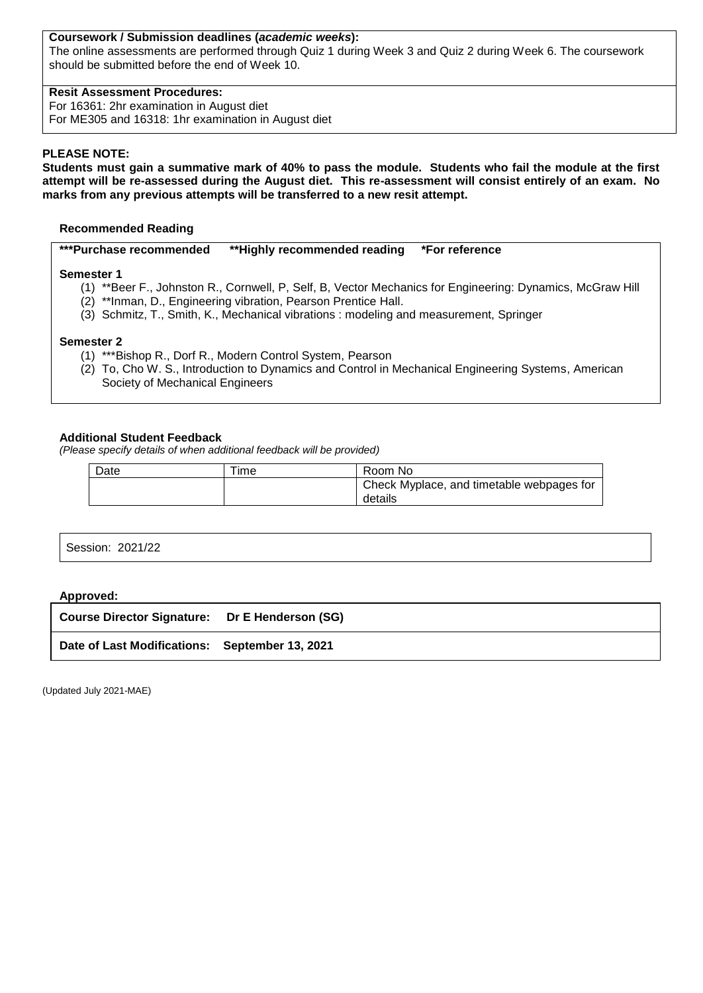### **Coursework / Submission deadlines (***academic weeks***):**

The online assessments are performed through Quiz 1 during Week 3 and Quiz 2 during Week 6. The coursework should be submitted before the end of Week 10.

### **Resit Assessment Procedures:**

For 16361: 2hr examination in August diet For ME305 and 16318: 1hr examination in August diet

### **PLEASE NOTE:**

**Students must gain a summative mark of 40% to pass the module. Students who fail the module at the first attempt will be re-assessed during the August diet. This re-assessment will consist entirely of an exam. No marks from any previous attempts will be transferred to a new resit attempt.**

#### **Recommended Reading**

**\*\*\*Purchase recommended \*\*Highly recommended reading \*For reference** 

#### **Semester 1**

- (1) \*\*Beer F., Johnston R., Cornwell, P, Self, B, Vector Mechanics for Engineering: Dynamics, McGraw Hill
- (2) \*\*Inman, D., Engineering vibration, Pearson Prentice Hall.
- (3) Schmitz, T., Smith, K., Mechanical vibrations : modeling and measurement, Springer

#### **Semester 2**

- (1) \*\*\*Bishop R., Dorf R., Modern Control System, Pearson
- (2) To, Cho W. S., Introduction to Dynamics and Control in Mechanical Engineering Systems, American Society of Mechanical Engineers

#### **Additional Student Feedback**

*(Please specify details of when additional feedback will be provided)*

| Date | Time | Room No                                              |
|------|------|------------------------------------------------------|
|      |      | Check Myplace, and timetable webpages for<br>details |

Session: 2021/22

#### **Approved:**

| Date of Last Modifications: September 13, 2021 |  |
|------------------------------------------------|--|

(Updated July 2021-MAE)